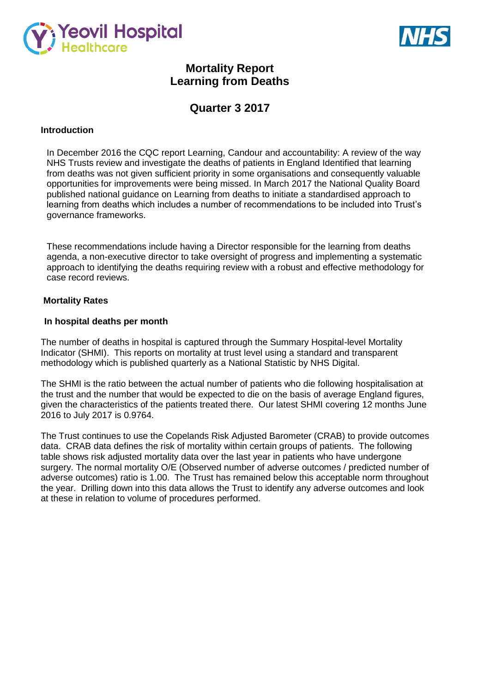



# **Mortality Report Learning from Deaths**

# **Quarter 3 2017**

# **Introduction**

In December 2016 the CQC report Learning, Candour and accountability: A review of the way NHS Trusts review and investigate the deaths of patients in England Identified that learning from deaths was not given sufficient priority in some organisations and consequently valuable opportunities for improvements were being missed. In March 2017 the National Quality Board published national guidance on Learning from deaths to initiate a standardised approach to learning from deaths which includes a number of recommendations to be included into Trust's governance frameworks.

These recommendations include having a Director responsible for the learning from deaths agenda, a non-executive director to take oversight of progress and implementing a systematic approach to identifying the deaths requiring review with a robust and effective methodology for case record reviews.

## **Mortality Rates**

## **In hospital deaths per month**

The number of deaths in hospital is captured through the Summary Hospital-level Mortality Indicator (SHMI). This reports on mortality at trust level using a standard and transparent methodology which is published quarterly as a National Statistic by NHS Digital.

The SHMI is the ratio between the actual number of patients who die following hospitalisation at the trust and the number that would be expected to die on the basis of average England figures, given the characteristics of the patients treated there. Our latest SHMI covering 12 months June 2016 to July 2017 is 0.9764.

The Trust continues to use the Copelands Risk Adjusted Barometer (CRAB) to provide outcomes data. CRAB data defines the risk of mortality within certain groups of patients. The following table shows risk adjusted mortality data over the last year in patients who have undergone surgery. The normal mortality O/E (Observed number of adverse outcomes / predicted number of adverse outcomes) ratio is 1.00. The Trust has remained below this acceptable norm throughout the year. Drilling down into this data allows the Trust to identify any adverse outcomes and look at these in relation to volume of procedures performed.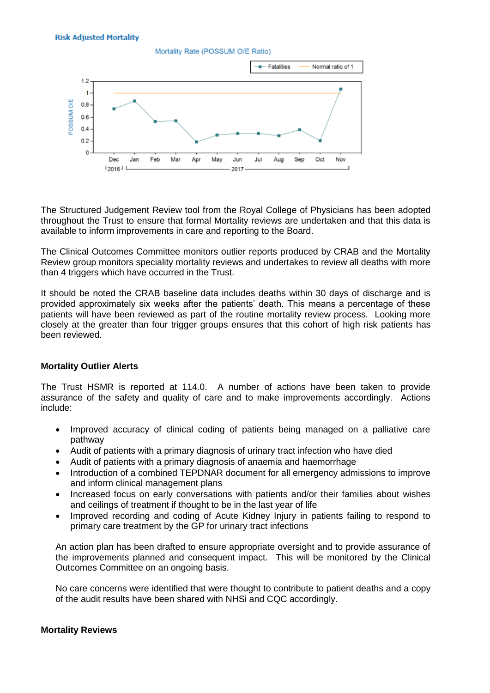**Risk Adjusted Mortality** 



The Structured Judgement Review tool from the Royal College of Physicians has been adopted throughout the Trust to ensure that formal Mortality reviews are undertaken and that this data is available to inform improvements in care and reporting to the Board.

The Clinical Outcomes Committee monitors outlier reports produced by CRAB and the Mortality Review group monitors speciality mortality reviews and undertakes to review all deaths with more than 4 triggers which have occurred in the Trust.

It should be noted the CRAB baseline data includes deaths within 30 days of discharge and is provided approximately six weeks after the patients' death. This means a percentage of these patients will have been reviewed as part of the routine mortality review process. Looking more closely at the greater than four trigger groups ensures that this cohort of high risk patients has been reviewed.

### **Mortality Outlier Alerts**

The Trust HSMR is reported at 114.0. A number of actions have been taken to provide assurance of the safety and quality of care and to make improvements accordingly. Actions include:

- Improved accuracy of clinical coding of patients being managed on a palliative care pathway
- Audit of patients with a primary diagnosis of urinary tract infection who have died
- Audit of patients with a primary diagnosis of anaemia and haemorrhage
- Introduction of a combined TEPDNAR document for all emergency admissions to improve and inform clinical management plans
- Increased focus on early conversations with patients and/or their families about wishes and ceilings of treatment if thought to be in the last year of life
- Improved recording and coding of Acute Kidney Injury in patients failing to respond to primary care treatment by the GP for urinary tract infections

An action plan has been drafted to ensure appropriate oversight and to provide assurance of the improvements planned and consequent impact. This will be monitored by the Clinical Outcomes Committee on an ongoing basis.

No care concerns were identified that were thought to contribute to patient deaths and a copy of the audit results have been shared with NHSi and CQC accordingly.

#### **Mortality Reviews**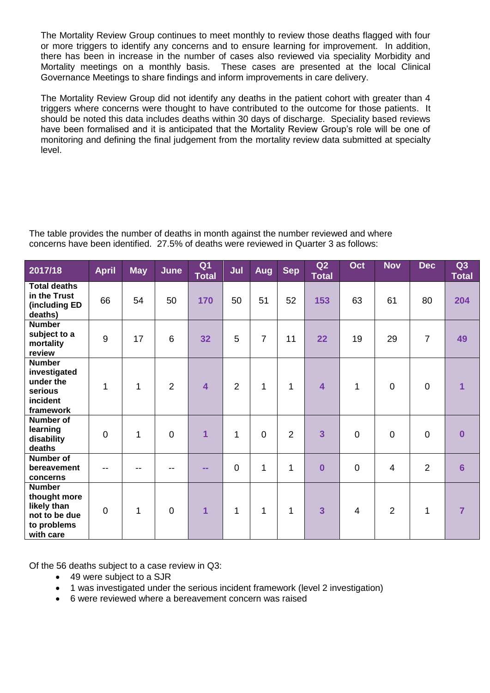The Mortality Review Group continues to meet monthly to review those deaths flagged with four or more triggers to identify any concerns and to ensure learning for improvement. In addition, there has been in increase in the number of cases also reviewed via speciality Morbidity and Mortality meetings on a monthly basis. These cases are presented at the local Clinical Governance Meetings to share findings and inform improvements in care delivery.

The Mortality Review Group did not identify any deaths in the patient cohort with greater than 4 triggers where concerns were thought to have contributed to the outcome for those patients. It should be noted this data includes deaths within 30 days of discharge. Speciality based reviews have been formalised and it is anticipated that the Mortality Review Group's role will be one of monitoring and defining the final judgement from the mortality review data submitted at specialty level.

The table provides the number of deaths in month against the number reviewed and where concerns have been identified. 27.5% of deaths were reviewed in Quarter 3 as follows:

| 2017/18                                                                                   | <b>April</b>   | <b>May</b> | June            | Q <sub>1</sub><br><b>Total</b> | Jul            | Aug            | <b>Sep</b>     | Q2<br><b>Total</b>      | Oct            | <b>Nov</b>     | <b>Dec</b>     | Q3<br><b>Total</b> |
|-------------------------------------------------------------------------------------------|----------------|------------|-----------------|--------------------------------|----------------|----------------|----------------|-------------------------|----------------|----------------|----------------|--------------------|
| <b>Total deaths</b><br>in the Trust<br>(including ED<br>deaths)                           | 66             | 54         | 50              | 170                            | 50             | 51             | 52             | 153                     | 63             | 61             | 80             | 204                |
| <b>Number</b><br>subject to a<br>mortality<br>review                                      | 9              | 17         | $6\phantom{1}6$ | 32                             | 5              | $\overline{7}$ | 11             | 22                      | 19             | 29             | $\overline{7}$ | 49                 |
| <b>Number</b><br>investigated<br>under the<br>serious<br>incident<br>framework            | 1              | 1          | 2               | $\overline{\mathbf{4}}$        | $\overline{2}$ | $\mathbf{1}$   | $\mathbf 1$    | 4                       | 1              | $\overline{0}$ | $\pmb{0}$      | 1                  |
| <b>Number of</b><br>learning<br>disability<br>deaths                                      | $\mathbf 0$    | 1          | $\overline{0}$  | $\overline{1}$                 | 1              | $\overline{0}$ | $\overline{2}$ | $\overline{3}$          | $\overline{0}$ | $\overline{0}$ | $\mathbf 0$    | $\Omega$           |
| <b>Number of</b><br>bereavement<br>concerns                                               |                | --         |                 | $\sim$ $\sim$                  | $\mathbf 0$    | 1              | $\mathbf 1$    | $\overline{\mathbf{0}}$ | $\mathbf 0$    | $\overline{4}$ | $\overline{2}$ | $6\phantom{1}6$    |
| <b>Number</b><br>thought more<br>likely than<br>not to be due<br>to problems<br>with care | $\overline{0}$ | 1          | $\overline{0}$  | $\overline{1}$                 | 1              | 1              | $\mathbf{1}$   | $\overline{3}$          | $\overline{4}$ | $\overline{2}$ | $\mathbf{1}$   | 7                  |

Of the 56 deaths subject to a case review in Q3:

- 49 were subject to a SJR
- 1 was investigated under the serious incident framework (level 2 investigation)
- 6 were reviewed where a bereavement concern was raised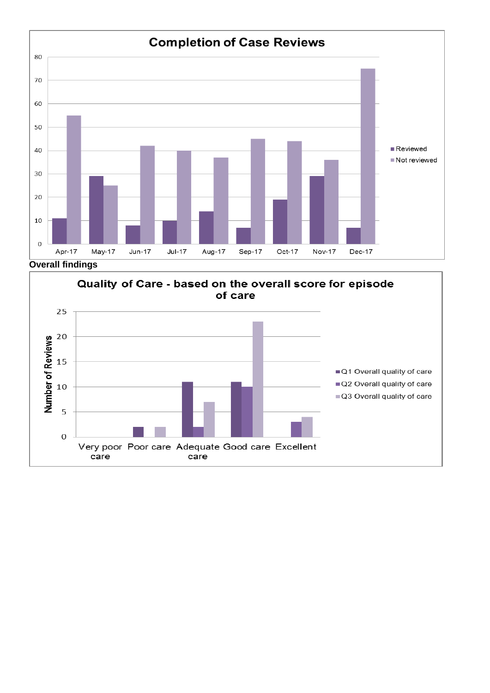

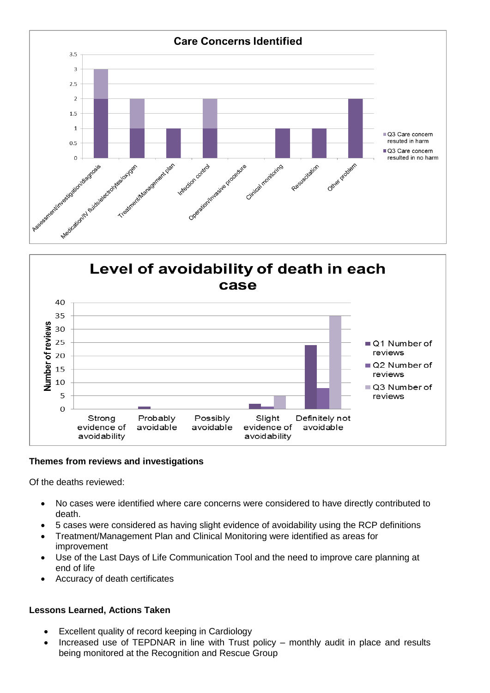



# **Themes from reviews and investigations**

Of the deaths reviewed:

- No cases were identified where care concerns were considered to have directly contributed to death.
- 5 cases were considered as having slight evidence of avoidability using the RCP definitions
- Treatment/Management Plan and Clinical Monitoring were identified as areas for improvement
- Use of the Last Days of Life Communication Tool and the need to improve care planning at end of life
- Accuracy of death certificates

# **Lessons Learned, Actions Taken**

- Excellent quality of record keeping in Cardiology
- Increased use of TEPDNAR in line with Trust policy monthly audit in place and results being monitored at the Recognition and Rescue Group